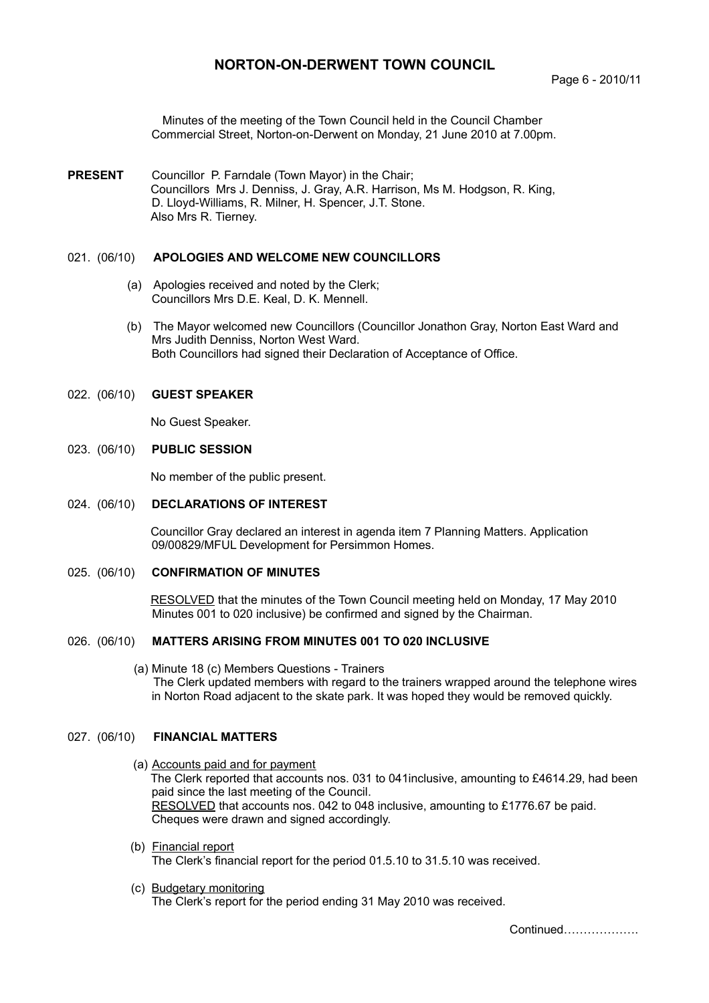# **NORTON-ON-DERWENT TOWN COUNCIL**

Minutes of the meeting of the Town Council held in the Council Chamber Commercial Street, Norton-on-Derwent on Monday, 21 June 2010 at 7.00pm.

**PRESENT** Councillor P. Farndale (Town Mayor) in the Chair; Councillors Mrs J. Denniss, J. Gray, A.R. Harrison, Ms M. Hodgson, R. King, D. Lloyd-Williams, R. Milner, H. Spencer, J.T. Stone. Also Mrs R. Tierney.

### 021. (06/10) **APOLOGIES AND WELCOME NEW COUNCILLORS**

- (a) Apologies received and noted by the Clerk; Councillors Mrs D.E. Keal, D. K. Mennell.
- (b) The Mayor welcomed new Councillors (Councillor Jonathon Gray, Norton East Ward and Mrs Judith Denniss, Norton West Ward. Both Councillors had signed their Declaration of Acceptance of Office.

### 022. (06/10) **GUEST SPEAKER**

No Guest Speaker.

### 023. (06/10) **PUBLIC SESSION**

No member of the public present.

### 024. (06/10) **DECLARATIONS OF INTEREST**

Councillor Gray declared an interest in agenda item 7 Planning Matters. Application 09/00829/MFUL Development for Persimmon Homes.

### 025. (06/10) **CONFIRMATION OF MINUTES**

 RESOLVED that the minutes of the Town Council meeting held on Monday, 17 May 2010 Minutes 001 to 020 inclusive) be confirmed and signed by the Chairman.

### 026. (06/10) **MATTERS ARISING FROM MINUTES 001 TO 020 INCLUSIVE**

 (a) Minute 18 (c) Members Questions - Trainers The Clerk updated members with regard to the trainers wrapped around the telephone wires in Norton Road adjacent to the skate park. It was hoped they would be removed quickly.

### 027. (06/10) **FINANCIAL MATTERS**

- (a) Accounts paid and for payment The Clerk reported that accounts nos. 031 to 041inclusive, amounting to £4614.29, had been paid since the last meeting of the Council. RESOLVED that accounts nos. 042 to 048 inclusive, amounting to £1776.67 be paid. Cheques were drawn and signed accordingly.
- (b) Financial report The Clerk's financial report for the period 01.5.10 to 31.5.10 was received.
- (c) Budgetary monitoring The Clerk's report for the period ending 31 May 2010 was received.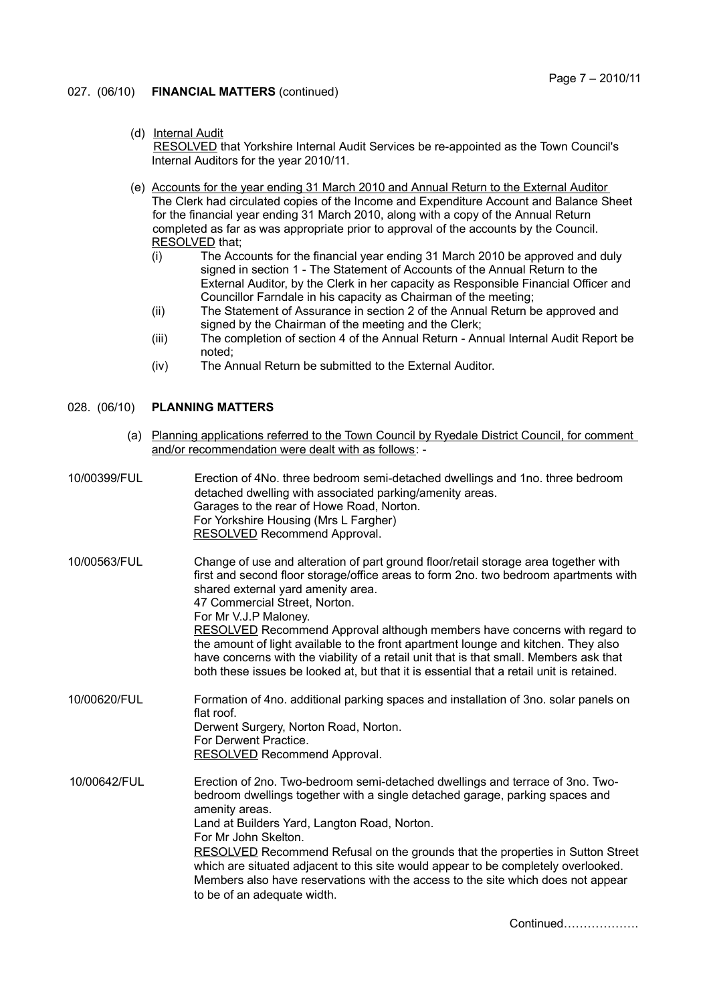### 027. (06/10) **FINANCIAL MATTERS** (continued)

- (d) Internal Audit RESOLVED that Yorkshire Internal Audit Services be re-appointed as the Town Council's Internal Auditors for the year 2010/11.
- (e) Accounts for the year ending 31 March 2010 and Annual Return to the External Auditor The Clerk had circulated copies of the Income and Expenditure Account and Balance Sheet for the financial year ending 31 March 2010, along with a copy of the Annual Return completed as far as was appropriate prior to approval of the accounts by the Council. RESOLVED that;
	- (i) The Accounts for the financial year ending 31 March 2010 be approved and duly signed in section 1 - The Statement of Accounts of the Annual Return to the External Auditor, by the Clerk in her capacity as Responsible Financial Officer and Councillor Farndale in his capacity as Chairman of the meeting;
	- (ii) The Statement of Assurance in section 2 of the Annual Return be approved and signed by the Chairman of the meeting and the Clerk;
	- (iii) The completion of section 4 of the Annual Return Annual Internal Audit Report be noted;
	- (iv) The Annual Return be submitted to the External Auditor.

### 028. (06/10) **PLANNING MATTERS**

- (a) Planning applications referred to the Town Council by Ryedale District Council, for comment and/or recommendation were dealt with as follows: -
- 10/00399/FUL Erection of 4No. three bedroom semi-detached dwellings and 1no. three bedroom detached dwelling with associated parking/amenity areas. Garages to the rear of Howe Road, Norton. For Yorkshire Housing (Mrs L Fargher) RESOLVED Recommend Approval. 10/00563/FUL Change of use and alteration of part ground floor/retail storage area together with first and second floor storage/office areas to form 2no. two bedroom apartments with shared external yard amenity area. 47 Commercial Street, Norton. For Mr V.J.P Maloney. RESOLVED Recommend Approval although members have concerns with regard to the amount of light available to the front apartment lounge and kitchen. They also have concerns with the viability of a retail unit that is that small. Members ask that both these issues be looked at, but that it is essential that a retail unit is retained. 10/00620/FUL Formation of 4no. additional parking spaces and installation of 3no. solar panels on flat roof Derwent Surgery, Norton Road, Norton. For Derwent Practice. RESOLVED Recommend Approval. 10/00642/FUL Erection of 2no. Two-bedroom semi-detached dwellings and terrace of 3no. Twobedroom dwellings together with a single detached garage, parking spaces and amenity areas. Land at Builders Yard, Langton Road, Norton. For Mr John Skelton. RESOLVED Recommend Refusal on the grounds that the properties in Sutton Street which are situated adjacent to this site would appear to be completely overlooked. Members also have reservations with the access to the site which does not appear to be of an adequate width.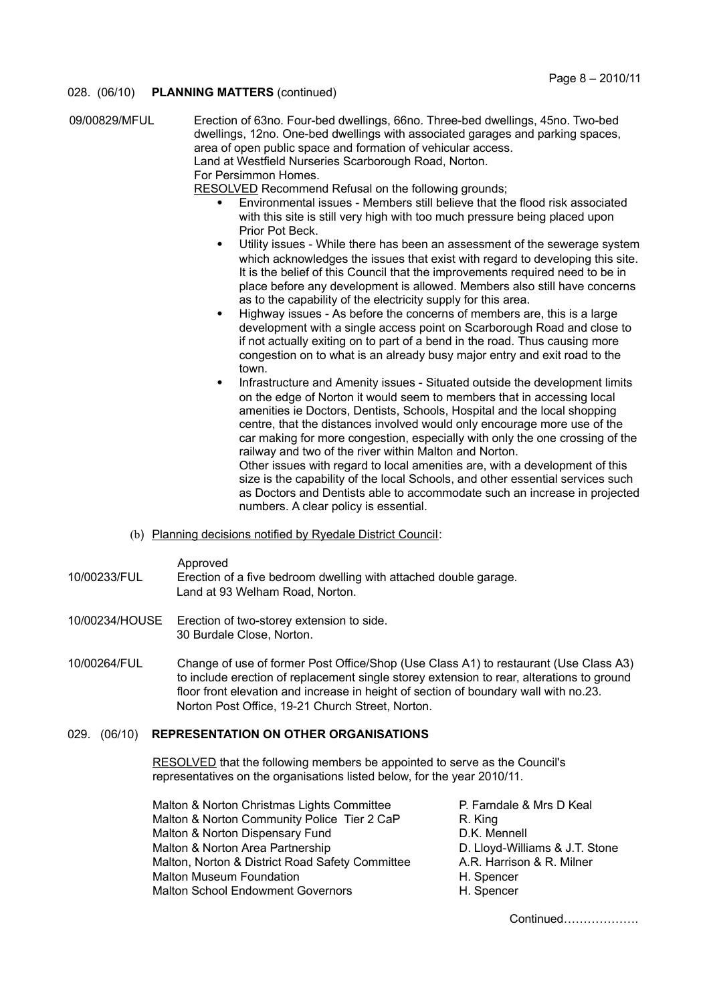### 028. (06/10) **PLANNING MATTERS** (continued)

| 09/00829/MFUL | Erection of 63no. Four-bed dwellings, 66no. Three-bed dwellings, 45no. Two-bed<br>dwellings, 12no. One-bed dwellings with associated garages and parking spaces,<br>area of open public space and formation of vehicular access. |
|---------------|----------------------------------------------------------------------------------------------------------------------------------------------------------------------------------------------------------------------------------|
|               | Land at Westfield Nurseries Scarborough Road, Norton.                                                                                                                                                                            |
|               | For Persimmon Homes.                                                                                                                                                                                                             |
|               | RESOLVED Recommend Refusal on the following grounds;                                                                                                                                                                             |
|               | Environmental issues - Members still believe that the flood risk associated<br>$\bullet$<br>with this site is still very high with too much pressure being placed upon<br>Prior Pot Beck.                                        |
|               | I Hility issues Milhile there has been an assessment of the severage system                                                                                                                                                      |

- Utility issues While there has been an assessment of the sewerage system which acknowledges the issues that exist with regard to developing this site. It is the belief of this Council that the improvements required need to be in place before any development is allowed. Members also still have concerns as to the capability of the electricity supply for this area.
- Highway issues As before the concerns of members are, this is a large development with a single access point on Scarborough Road and close to if not actually exiting on to part of a bend in the road. Thus causing more congestion on to what is an already busy major entry and exit road to the town.
- Infrastructure and Amenity issues Situated outside the development limits on the edge of Norton it would seem to members that in accessing local amenities ie Doctors, Dentists, Schools, Hospital and the local shopping centre, that the distances involved would only encourage more use of the car making for more congestion, especially with only the one crossing of the railway and two of the river within Malton and Norton. Other issues with regard to local amenities are, with a development of this

size is the capability of the local Schools, and other essential services such as Doctors and Dentists able to accommodate such an increase in projected numbers. A clear policy is essential.

(b) Planning decisions notified by Ryedale District Council:

Approved

10/00233/FUL Erection of a five bedroom dwelling with attached double garage. Land at 93 Welham Road, Norton.

- 10/00234/HOUSE Erection of two-storey extension to side. 30 Burdale Close, Norton.
- 10/00264/FUL Change of use of former Post Office/Shop (Use Class A1) to restaurant (Use Class A3) to include erection of replacement single storey extension to rear, alterations to ground floor front elevation and increase in height of section of boundary wall with no.23. Norton Post Office, 19-21 Church Street, Norton.

### 029. (06/10) **REPRESENTATION ON OTHER ORGANISATIONS**

RESOLVED that the following members be appointed to serve as the Council's representatives on the organisations listed below, for the year 2010/11.

| P. Farndale & Mrs D Keal       |
|--------------------------------|
| R. King                        |
| D.K. Mennell                   |
| D. Lloyd-Williams & J.T. Stone |
| A.R. Harrison & R. Milner      |
| H. Spencer                     |
| H. Spencer                     |
|                                |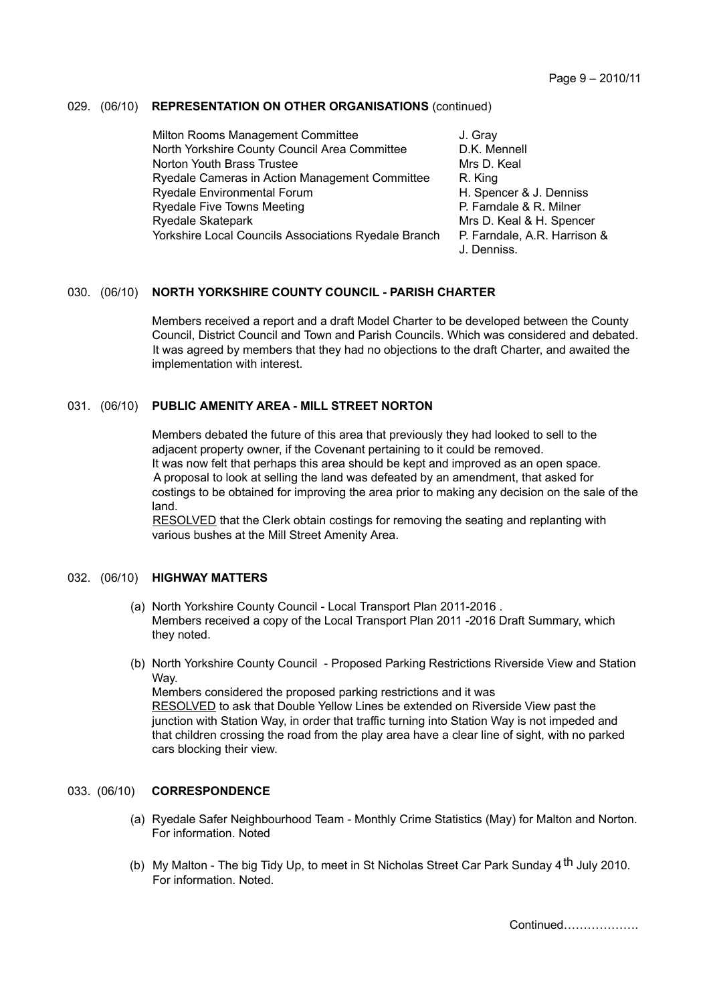## 029. (06/10) **REPRESENTATION ON OTHER ORGANISATIONS** (continued)

Milton Rooms Management Committee **J.** Gray North Yorkshire County Council Area Committee D.K. Mennell Norton Youth Brass Trustee Mrs D. Keal Ryedale Cameras in Action Management Committee R. King Ryedale Environmental Forum H. Spencer & J. Denniss Ryedale Five Towns Meeting P. Farndale & R. Milner Ryedale Skatepark Mrs D. Keal & H. Spencer Yorkshire Local Councils Associations Ryedale Branch P. Farndale, A.R. Harrison & J. Denniss.

### 030. (06/10) **NORTH YORKSHIRE COUNTY COUNCIL - PARISH CHARTER**

Members received a report and a draft Model Charter to be developed between the County Council, District Council and Town and Parish Councils. Which was considered and debated. It was agreed by members that they had no objections to the draft Charter, and awaited the implementation with interest.

### 031. (06/10) **PUBLIC AMENITY AREA - MILL STREET NORTON**

Members debated the future of this area that previously they had looked to sell to the adjacent property owner, if the Covenant pertaining to it could be removed. It was now felt that perhaps this area should be kept and improved as an open space. A proposal to look at selling the land was defeated by an amendment, that asked for costings to be obtained for improving the area prior to making any decision on the sale of the land.

RESOLVED that the Clerk obtain costings for removing the seating and replanting with various bushes at the Mill Street Amenity Area.

### 032. (06/10) **HIGHWAY MATTERS**

- (a) North Yorkshire County Council Local Transport Plan 2011-2016 . Members received a copy of the Local Transport Plan 2011 -2016 Draft Summary, which they noted.
- (b) North Yorkshire County Council Proposed Parking Restrictions Riverside View and Station Way. Members considered the proposed parking restrictions and it was RESOLVED to ask that Double Yellow Lines be extended on Riverside View past the

junction with Station Way, in order that traffic turning into Station Way is not impeded and that children crossing the road from the play area have a clear line of sight, with no parked cars blocking their view.

# 033. (06/10) **CORRESPONDENCE**

- (a) Ryedale Safer Neighbourhood Team Monthly Crime Statistics (May) for Malton and Norton. For information. Noted
- (b) My Malton The big Tidy Up, to meet in St Nicholas Street Car Park Sunday  $4^{\text{th}}$  July 2010. For information. Noted.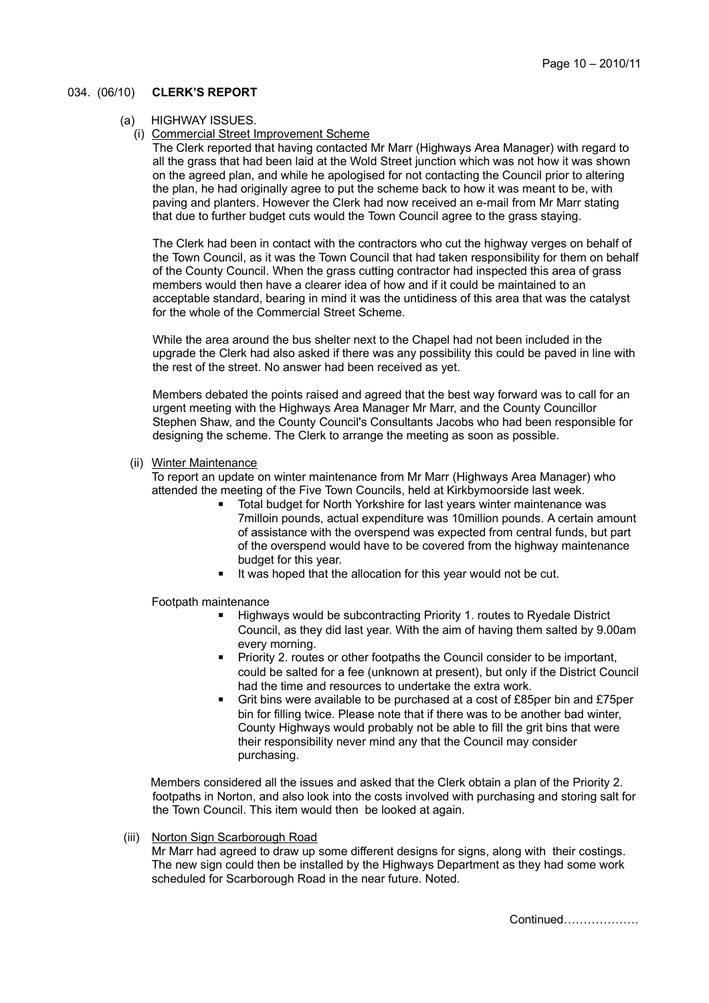### 034. (06/10) **CLERK'S REPORT**

- (a) HIGHWAY ISSUES.
	- (i) Commercial Street Improvement Scheme

The Clerk reported that having contacted Mr Marr (Highways Area Manager) with regard to all the grass that had been laid at the Wold Street junction which was not how it was shown on the agreed plan, and while he apologised for not contacting the Council prior to altering the plan, he had originally agree to put the scheme back to how it was meant to be, with paving and planters. However the Clerk had now received an e-mail from Mr Marr stating that due to further budget cuts would the Town Council agree to the grass staying.

The Clerk had been in contact with the contractors who cut the highway verges on behalf of the Town Council, as it was the Town Council that had taken responsibility for them on behalf of the County Council. When the grass cutting contractor had inspected this area of grass members would then have a clearer idea of how and if it could be maintained to an acceptable standard, bearing in mind it was the untidiness of this area that was the catalyst for the whole of the Commercial Street Scheme.

While the area around the bus shelter next to the Chapel had not been included in the upgrade the Clerk had also asked if there was any possibility this could be paved in line with the rest of the street. No answer had been received as yet.

Members debated the points raised and agreed that the best way forward was to call for an urgent meeting with the Highways Area Manager Mr Marr, and the County Councillor Stephen Shaw, and the County Council's Consultants Jacobs who had been responsible for designing the scheme. The Clerk to arrange the meeting as soon as possible.

(ii) Winter Maintenance

To report an update on winter maintenance from Mr Marr (Highways Area Manager) who attended the meeting of the Five Town Councils, held at Kirkbymoorside last week.

- Total budget for North Yorkshire for last years winter maintenance was 7milloin pounds, actual expenditure was 10million pounds. A certain amount of assistance with the overspend was expected from central funds, but part of the overspend would have to be covered from the highway maintenance budget for this year.
- **■** It was hoped that the allocation for this year would not be cut.

Footpath maintenance

- Highways would be subcontracting Priority 1. routes to Ryedale District Council, as they did last year. With the aim of having them salted by 9.00am every morning.
- Priority 2. routes or other footpaths the Council consider to be important, could be salted for a fee (unknown at present), but only if the District Council had the time and resources to undertake the extra work.
- Grit bins were available to be purchased at a cost of £85per bin and £75per bin for filling twice. Please note that if there was to be another bad winter, County Highways would probably not be able to fill the grit bins that were their responsibility never mind any that the Council may consider purchasing.

Members considered all the issues and asked that the Clerk obtain a plan of the Priority 2. footpaths in Norton, and also look into the costs involved with purchasing and storing salt for the Town Council. This item would then be looked at again.

(iii) Norton Sign Scarborough Road

Mr Marr had agreed to draw up some different designs for signs, along with their costings. The new sign could then be installed by the Highways Department as they had some work scheduled for Scarborough Road in the near future. Noted.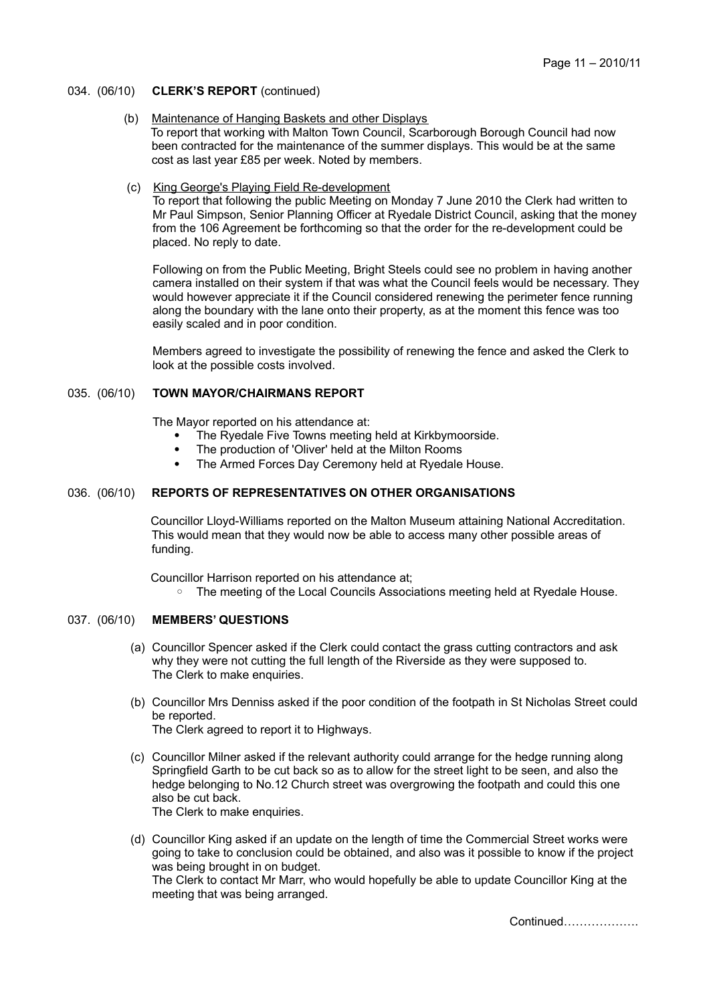- 034. (06/10) **CLERK'S REPORT** (continued)
	- (b) Maintenance of Hanging Baskets and other Displays To report that working with Malton Town Council, Scarborough Borough Council had now been contracted for the maintenance of the summer displays. This would be at the same cost as last year £85 per week. Noted by members.
	- (c) King George's Playing Field Re-development

To report that following the public Meeting on Monday 7 June 2010 the Clerk had written to Mr Paul Simpson, Senior Planning Officer at Ryedale District Council, asking that the money from the 106 Agreement be forthcoming so that the order for the re-development could be placed. No reply to date.

Following on from the Public Meeting, Bright Steels could see no problem in having another camera installed on their system if that was what the Council feels would be necessary. They would however appreciate it if the Council considered renewing the perimeter fence running along the boundary with the lane onto their property, as at the moment this fence was too easily scaled and in poor condition.

Members agreed to investigate the possibility of renewing the fence and asked the Clerk to look at the possible costs involved.

### 035. (06/10) **TOWN MAYOR/CHAIRMANS REPORT**

The Mayor reported on his attendance at:

- The Ryedale Five Towns meeting held at Kirkbymoorside.
- The production of 'Oliver' held at the Milton Rooms
- The Armed Forces Day Ceremony held at Ryedale House.

### 036. (06/10) **REPORTS OF REPRESENTATIVES ON OTHER ORGANISATIONS**

Councillor Lloyd-Williams reported on the Malton Museum attaining National Accreditation. This would mean that they would now be able to access many other possible areas of funding.

Councillor Harrison reported on his attendance at;

◦ The meeting of the Local Councils Associations meeting held at Ryedale House.

### 037. (06/10) **MEMBERS' QUESTIONS**

- (a) Councillor Spencer asked if the Clerk could contact the grass cutting contractors and ask why they were not cutting the full length of the Riverside as they were supposed to. The Clerk to make enquiries.
- (b) Councillor Mrs Denniss asked if the poor condition of the footpath in St Nicholas Street could be reported. The Clerk agreed to report it to Highways.
- (c) Councillor Milner asked if the relevant authority could arrange for the hedge running along Springfield Garth to be cut back so as to allow for the street light to be seen, and also the hedge belonging to No.12 Church street was overgrowing the footpath and could this one also be cut back. The Clerk to make enquiries.
- (d) Councillor King asked if an update on the length of time the Commercial Street works were going to take to conclusion could be obtained, and also was it possible to know if the project was being brought in on budget. The Clerk to contact Mr Marr, who would hopefully be able to update Councillor King at the meeting that was being arranged.